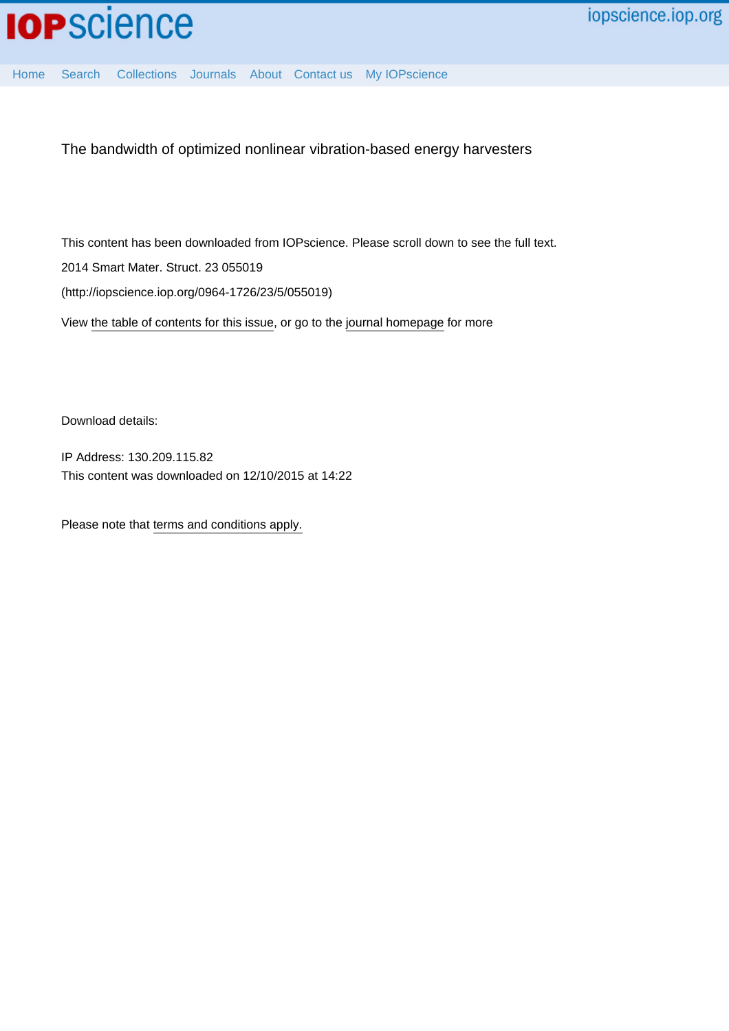

[Home](http://iopscience.iop.org/) [Search](http://iopscience.iop.org/search) [Collections](http://iopscience.iop.org/collections) [Journals](http://iopscience.iop.org/journals) [About](http://iopscience.iop.org/page/aboutioppublishing) [Contact us](http://iopscience.iop.org/contact) [My IOPscience](http://iopscience.iop.org/myiopscience)

The bandwidth of optimized nonlinear vibration-based energy harvesters

This content has been downloaded from IOPscience. Please scroll down to see the full text. View [the table of contents for this issue](http://iopscience.iop.org/0964-1726/23/5), or go to the [journal homepage](http://iopscience.iop.org/0964-1726) for more 2014 Smart Mater. Struct. 23 055019 (http://iopscience.iop.org/0964-1726/23/5/055019)

Download details:

IP Address: 130.209.115.82 This content was downloaded on 12/10/2015 at 14:22

Please note that [terms and conditions apply.](iopscience.iop.org/page/terms)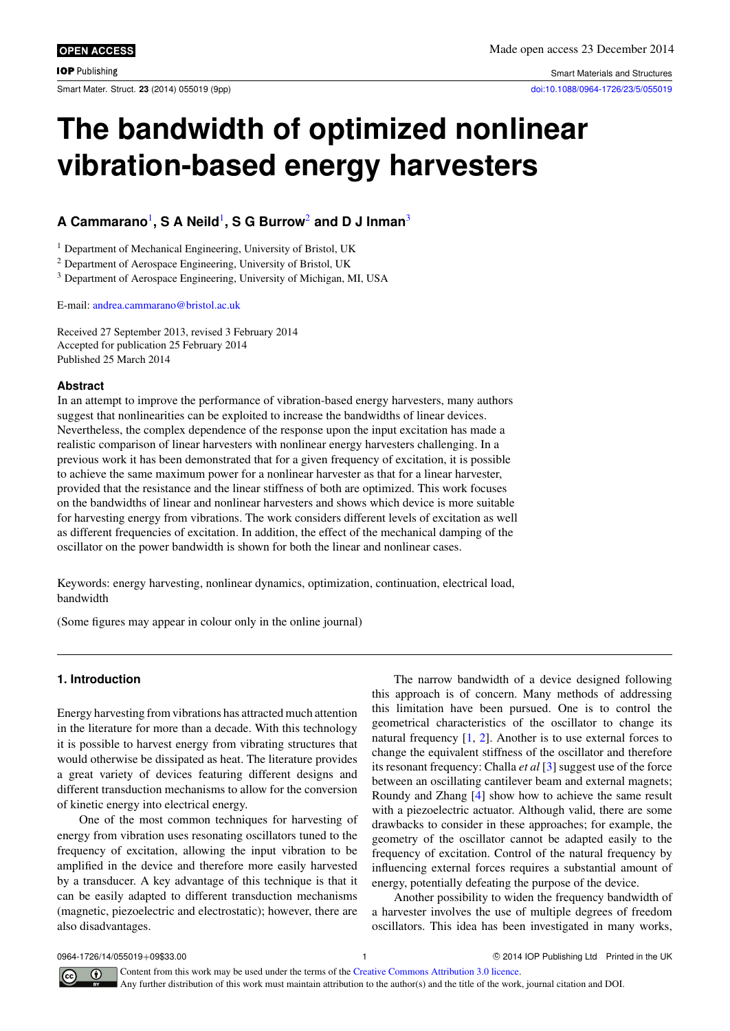**IOP** Publishing

Smart Materials and Structures Smart Mater. Struct. **23** (2014) 055019 (9pp) [doi:10.1088/0964-1726/23/5/055019](http://dx.doi.org/10.1088/0964-1726/23/5/055019)

# **The bandwidth of optimized nonlinear vibration-based energy harvesters**

# **A Cammarano**[1](#page-1-0) **, S A Neild**[1](#page-1-0) **, S G Burrow**[2](#page-1-1) **and D J Inman**[3](#page-1-2)

<span id="page-1-0"></span><sup>1</sup> Department of Mechanical Engineering, University of Bristol, UK

<span id="page-1-1"></span><sup>2</sup> Department of Aerospace Engineering, University of Bristol, UK

<span id="page-1-2"></span><sup>3</sup> Department of Aerospace Engineering, University of Michigan, MI, USA

E-mail: [andrea.cammarano@bristol.ac.uk](mailto:andrea.cammarano@bristol.ac.uk)

Received 27 September 2013, revised 3 February 2014 Accepted for publication 25 February 2014 Published 25 March 2014

#### **Abstract**

In an attempt to improve the performance of vibration-based energy harvesters, many authors suggest that nonlinearities can be exploited to increase the bandwidths of linear devices. Nevertheless, the complex dependence of the response upon the input excitation has made a realistic comparison of linear harvesters with nonlinear energy harvesters challenging. In a previous work it has been demonstrated that for a given frequency of excitation, it is possible to achieve the same maximum power for a nonlinear harvester as that for a linear harvester, provided that the resistance and the linear stiffness of both are optimized. This work focuses on the bandwidths of linear and nonlinear harvesters and shows which device is more suitable for harvesting energy from vibrations. The work considers different levels of excitation as well as different frequencies of excitation. In addition, the effect of the mechanical damping of the oscillator on the power bandwidth is shown for both the linear and nonlinear cases.

Keywords: energy harvesting, nonlinear dynamics, optimization, continuation, electrical load, bandwidth

(Some figures may appear in colour only in the online journal)

# **1. Introduction**

Energy harvesting from vibrations has attracted much attention in the literature for more than a decade. With this technology it is possible to harvest energy from vibrating structures that would otherwise be dissipated as heat. The literature provides a great variety of devices featuring different designs and different transduction mechanisms to allow for the conversion of kinetic energy into electrical energy.

One of the most common techniques for harvesting of energy from vibration uses resonating oscillators tuned to the frequency of excitation, allowing the input vibration to be amplified in the device and therefore more easily harvested by a transducer. A key advantage of this technique is that it can be easily adapted to different transduction mechanisms (magnetic, piezoelectric and electrostatic); however, there are also disadvantages.

The narrow bandwidth of a device designed following this approach is of concern. Many methods of addressing this limitation have been pursued. One is to control the geometrical characteristics of the oscillator to change its natural frequency  $[1, 2]$  $[1, 2]$  $[1, 2]$ . Another is to use external forces to change the equivalent stiffness of the oscillator and therefore its resonant frequency: Challa *et al* [\[3\]](#page-8-2) suggest use of the force between an oscillating cantilever beam and external magnets; Roundy and Zhang [\[4\]](#page-8-3) show how to achieve the same result with a piezoelectric actuator. Although valid, there are some drawbacks to consider in these approaches; for example, the geometry of the oscillator cannot be adapted easily to the frequency of excitation. Control of the natural frequency by influencing external forces requires a substantial amount of energy, potentially defeating the purpose of the device.

Another possibility to widen the frequency bandwidth of a harvester involves the use of multiple degrees of freedom oscillators. This idea has been investigated in many works,

0964-1726/14/055019+09\$33.00 1 c 2014 IOP Publishing Ltd Printed in the UK

Content from this work may be used under the terms of the [Creative Commons Attribution 3.0 licence.](http://creativecommons.org/licenses/by/3.0/) Any further distribution of this work must maintain attribution to the author(s) and the title of the work, journal citation and DOI.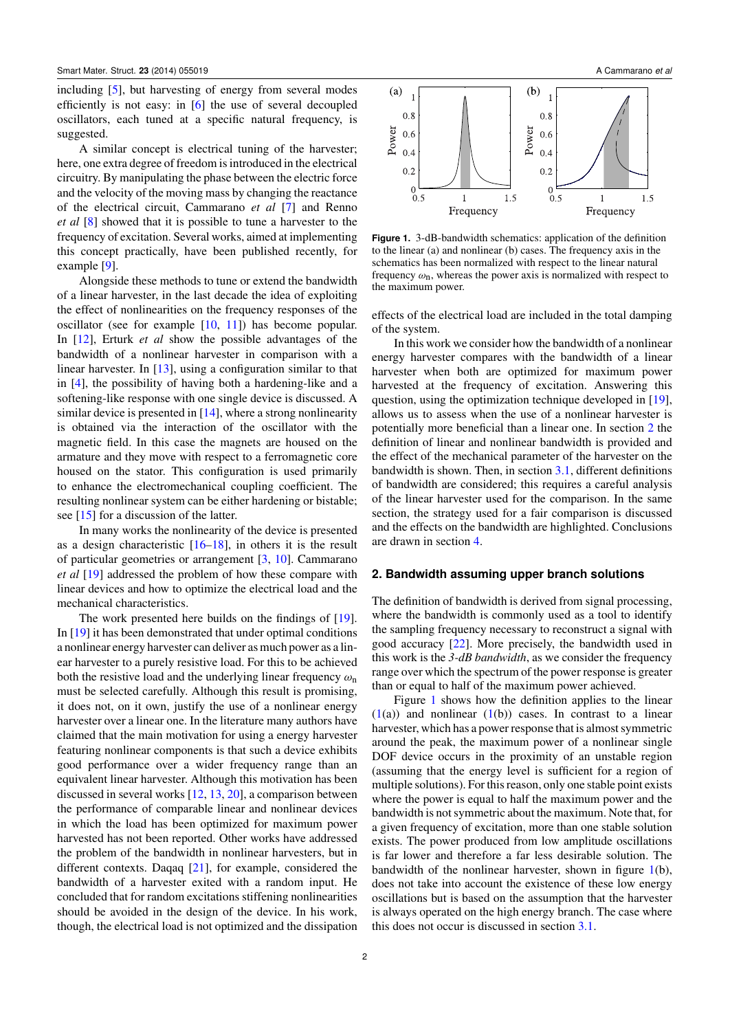including [\[5\]](#page-8-4), but harvesting of energy from several modes efficiently is not easy: in [\[6\]](#page-8-5) the use of several decoupled oscillators, each tuned at a specific natural frequency, is suggested.

A similar concept is electrical tuning of the harvester; here, one extra degree of freedom is introduced in the electrical circuitry. By manipulating the phase between the electric force and the velocity of the moving mass by changing the reactance of the electrical circuit, Cammarano *et al* [\[7\]](#page-9-0) and Renno *et al* [\[8\]](#page-9-1) showed that it is possible to tune a harvester to the frequency of excitation. Several works, aimed at implementing this concept practically, have been published recently, for example [\[9\]](#page-9-2).

Alongside these methods to tune or extend the bandwidth of a linear harvester, in the last decade the idea of exploiting the effect of nonlinearities on the frequency responses of the oscillator (see for example [\[10,](#page-9-3) [11\]](#page-9-4)) has become popular. In [\[12\]](#page-9-5), Erturk *et al* show the possible advantages of the bandwidth of a nonlinear harvester in comparison with a linear harvester. In [\[13\]](#page-9-6), using a configuration similar to that in [\[4\]](#page-8-3), the possibility of having both a hardening-like and a softening-like response with one single device is discussed. A similar device is presented in [\[14\]](#page-9-7), where a strong nonlinearity is obtained via the interaction of the oscillator with the magnetic field. In this case the magnets are housed on the armature and they move with respect to a ferromagnetic core housed on the stator. This configuration is used primarily to enhance the electromechanical coupling coefficient. The resulting nonlinear system can be either hardening or bistable; see [\[15\]](#page-9-8) for a discussion of the latter.

In many works the nonlinearity of the device is presented as a design characteristic  $[16–18]$  $[16–18]$ , in others it is the result of particular geometries or arrangement [\[3,](#page-8-2) [10\]](#page-9-3). Cammarano *et al* [\[19\]](#page-9-11) addressed the problem of how these compare with linear devices and how to optimize the electrical load and the mechanical characteristics.

The work presented here builds on the findings of [\[19\]](#page-9-11). In [\[19\]](#page-9-11) it has been demonstrated that under optimal conditions a nonlinear energy harvester can deliver as much power as a linear harvester to a purely resistive load. For this to be achieved both the resistive load and the underlying linear frequency  $\omega_n$ must be selected carefully. Although this result is promising, it does not, on it own, justify the use of a nonlinear energy harvester over a linear one. In the literature many authors have claimed that the main motivation for using a energy harvester featuring nonlinear components is that such a device exhibits good performance over a wider frequency range than an equivalent linear harvester. Although this motivation has been discussed in several works [\[12,](#page-9-5) [13,](#page-9-6) [20\]](#page-9-12), a comparison between the performance of comparable linear and nonlinear devices in which the load has been optimized for maximum power harvested has not been reported. Other works have addressed the problem of the bandwidth in nonlinear harvesters, but in different contexts. Daqaq [\[21\]](#page-9-13), for example, considered the bandwidth of a harvester exited with a random input. He concluded that for random excitations stiffening nonlinearities should be avoided in the design of the device. In his work, though, the electrical load is not optimized and the dissipation



<span id="page-2-1"></span>

**Figure 1.** 3-dB-bandwidth schematics: application of the definition to the linear (a) and nonlinear (b) cases. The frequency axis in the schematics has been normalized with respect to the linear natural frequency  $\omega_n$ , whereas the power axis is normalized with respect to the maximum power.

effects of the electrical load are included in the total damping of the system.

In this work we consider how the bandwidth of a nonlinear energy harvester compares with the bandwidth of a linear harvester when both are optimized for maximum power harvested at the frequency of excitation. Answering this question, using the optimization technique developed in [\[19\]](#page-9-11), allows us to assess when the use of a nonlinear harvester is potentially more beneficial than a linear one. In section [2](#page-2-0) the definition of linear and nonlinear bandwidth is provided and the effect of the mechanical parameter of the harvester on the bandwidth is shown. Then, in section [3.1,](#page-6-0) different definitions of bandwidth are considered; this requires a careful analysis of the linear harvester used for the comparison. In the same section, the strategy used for a fair comparison is discussed and the effects on the bandwidth are highlighted. Conclusions are drawn in section [4.](#page-8-6)

### <span id="page-2-0"></span>**2. Bandwidth assuming upper branch solutions**

The definition of bandwidth is derived from signal processing, where the bandwidth is commonly used as a tool to identify the sampling frequency necessary to reconstruct a signal with good accuracy [\[22\]](#page-9-14). More precisely, the bandwidth used in this work is the *3-dB bandwidth*, as we consider the frequency range over which the spectrum of the power response is greater than or equal to half of the maximum power achieved.

Figure [1](#page-2-1) shows how the definition applies to the linear  $(1(a))$  $(1(a))$  and nonlinear  $(1(b))$  cases. In contrast to a linear harvester, which has a power response that is almost symmetric around the peak, the maximum power of a nonlinear single DOF device occurs in the proximity of an unstable region (assuming that the energy level is sufficient for a region of multiple solutions). For this reason, only one stable point exists where the power is equal to half the maximum power and the bandwidth is not symmetric about the maximum. Note that, for a given frequency of excitation, more than one stable solution exists. The power produced from low amplitude oscillations is far lower and therefore a far less desirable solution. The bandwidth of the nonlinear harvester, shown in figure [1\(](#page-2-1)b), does not take into account the existence of these low energy oscillations but is based on the assumption that the harvester is always operated on the high energy branch. The case where this does not occur is discussed in section [3.1.](#page-6-0)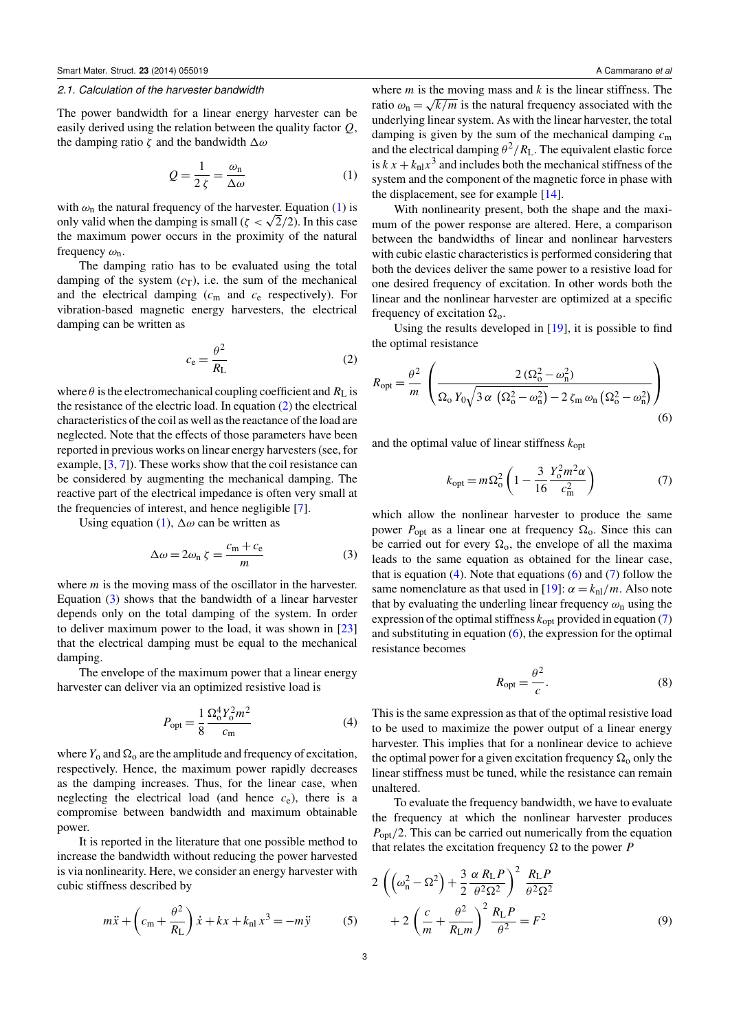#### <span id="page-3-6"></span>*2.1. Calculation of the harvester bandwidth*

The power bandwidth for a linear energy harvester can be easily derived using the relation between the quality factor *Q*, the damping ratio  $\zeta$  and the bandwidth  $\Delta\omega$ 

<span id="page-3-0"></span>
$$
Q = \frac{1}{2\zeta} = \frac{\omega_{\rm n}}{\Delta\omega} \tag{1}
$$

with  $\omega_n$  the natural frequency of the harvester. Equation [\(1\)](#page-3-0) is with  $\omega_n$  the natural frequency of the harvester. Equation (1) is only valid when the damping is small ( $\zeta < \sqrt{2}/2$ ). In this case the maximum power occurs in the proximity of the natural frequency  $\omega_n$ .

The damping ratio has to be evaluated using the total damping of the system  $(c<sub>T</sub>)$ , i.e. the sum of the mechanical and the electrical damping (*c*<sup>m</sup> and *c*<sup>e</sup> respectively). For vibration-based magnetic energy harvesters, the electrical damping can be written as

<span id="page-3-1"></span>
$$
c_{\rm e} = \frac{\theta^2}{R_{\rm L}}\tag{2}
$$

where  $\theta$  is the electromechanical coupling coefficient and  $R_L$  is the resistance of the electric load. In equation [\(2\)](#page-3-1) the electrical characteristics of the coil as well as the reactance of the load are neglected. Note that the effects of those parameters have been reported in previous works on linear energy harvesters (see, for example, [\[3,](#page-8-2) [7\]](#page-9-0)). These works show that the coil resistance can be considered by augmenting the mechanical damping. The reactive part of the electrical impedance is often very small at the frequencies of interest, and hence negligible [\[7\]](#page-9-0).

Using equation [\(1\)](#page-3-0),  $\Delta \omega$  can be written as

<span id="page-3-2"></span>
$$
\Delta \omega = 2\omega_{\rm n} \zeta = \frac{c_{\rm m} + c_{\rm e}}{m} \tag{3}
$$

where *m* is the moving mass of the oscillator in the harvester. Equation [\(3\)](#page-3-2) shows that the bandwidth of a linear harvester depends only on the total damping of the system. In order to deliver maximum power to the load, it was shown in [\[23\]](#page-9-15) that the electrical damping must be equal to the mechanical damping.

The envelope of the maximum power that a linear energy harvester can deliver via an optimized resistive load is

<span id="page-3-3"></span>
$$
P_{\rm opt} = \frac{1}{8} \frac{\Omega_0^4 Y_0^2 m^2}{c_{\rm m}} \tag{4}
$$

where  $Y_0$  and  $\Omega_0$  are the amplitude and frequency of excitation, respectively. Hence, the maximum power rapidly decreases as the damping increases. Thus, for the linear case, when neglecting the electrical load (and hence *c*e), there is a compromise between bandwidth and maximum obtainable power.

It is reported in the literature that one possible method to increase the bandwidth without reducing the power harvested is via nonlinearity. Here, we consider an energy harvester with cubic stiffness described by

$$
m\ddot{x} + \left(c_{\rm m} + \frac{\theta^2}{R_{\rm L}}\right)\dot{x} + kx + k_{\rm nl}x^3 = -m\ddot{y}
$$
 (5)

where *m* is the moving mass and *k* is the linear stiffness. The ratio  $\omega_n = \sqrt{k/m}$  is the natural frequency associated with the underlying linear system. As with the linear harvester, the total damping is given by the sum of the mechanical damping *c*<sup>m</sup> and the electrical damping  $\theta^2/R_{\rm L}$ . The equivalent elastic force is  $k x + k_{\text{nl}} x^3$  and includes both the mechanical stiffness of the system and the component of the magnetic force in phase with the displacement, see for example [\[14\]](#page-9-7).

With nonlinearity present, both the shape and the maximum of the power response are altered. Here, a comparison between the bandwidths of linear and nonlinear harvesters with cubic elastic characteristics is performed considering that both the devices deliver the same power to a resistive load for one desired frequency of excitation. In other words both the linear and the nonlinear harvester are optimized at a specific frequency of excitation  $\Omega_0$ .

Using the results developed in [\[19\]](#page-9-11), it is possible to find the optimal resistance

<span id="page-3-4"></span>
$$
R_{\rm opt} = \frac{\theta^2}{m} \left( \frac{2 \left( \Omega_{\rm o}^2 - \omega_{\rm n}^2 \right)}{\Omega_{\rm o} Y_0 \sqrt{3 \alpha \left( \Omega_{\rm o}^2 - \omega_{\rm n}^2 \right)} - 2 \zeta_{\rm m} \omega_{\rm n} \left( \Omega_{\rm o}^2 - \omega_{\rm n}^2 \right)} \right)
$$
(6)

and the optimal value of linear stiffness  $k_{opt}$ 

<span id="page-3-5"></span>
$$
k_{\rm opt} = m\Omega_o^2 \left(1 - \frac{3}{16} \frac{Y_o^2 m^2 \alpha}{c_{\rm m}^2}\right)
$$
 (7)

which allow the nonlinear harvester to produce the same power  $P_{opt}$  as a linear one at frequency  $\Omega_0$ . Since this can be carried out for every  $\Omega_0$ , the envelope of all the maxima leads to the same equation as obtained for the linear case, that is equation  $(4)$ . Note that equations  $(6)$  and  $(7)$  follow the same nomenclature as that used in [\[19\]](#page-9-11):  $\alpha = k_{nl}/m$ . Also note that by evaluating the underling linear frequency  $\omega_n$  using the expression of the optimal stiffness  $k_{opt}$  provided in equation [\(7\)](#page-3-5) and substituting in equation  $(6)$ , the expression for the optimal resistance becomes

$$
R_{\rm opt} = \frac{\theta^2}{c}.
$$
 (8)

This is the same expression as that of the optimal resistive load to be used to maximize the power output of a linear energy harvester. This implies that for a nonlinear device to achieve the optimal power for a given excitation frequency  $\Omega_0$  only the linear stiffness must be tuned, while the resistance can remain unaltered.

To evaluate the frequency bandwidth, we have to evaluate the frequency at which the nonlinear harvester produces *P*<sub>opt</sub>/2. This can be carried out numerically from the equation that relates the excitation frequency  $\Omega$  to the power *P* 

$$
2\left(\left(\omega_n^2 - \Omega^2\right) + \frac{3}{2}\frac{\alpha R_{\rm L}P}{\theta^2 \Omega^2}\right)^2 \frac{R_{\rm L}P}{\theta^2 \Omega^2} + 2\left(\frac{c}{m} + \frac{\theta^2}{R_{\rm L}m}\right)^2 \frac{R_{\rm L}P}{\theta^2} = F^2 \tag{9}
$$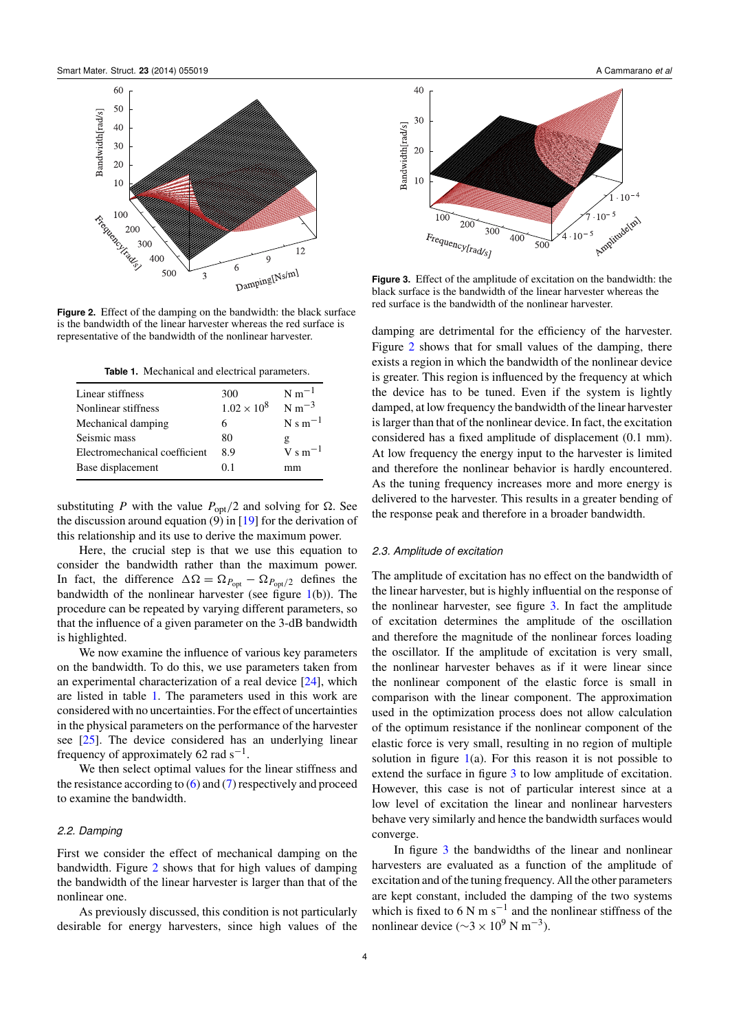<span id="page-4-1"></span>

<span id="page-4-0"></span>**Figure 2.** Effect of the damping on the bandwidth: the black surface is the bandwidth of the linear harvester whereas the red surface is representative of the bandwidth of the nonlinear harvester.

**Table 1.** Mechanical and electrical parameters.

| Linear stiffness              | 300                  | $N m^{-1}$   |
|-------------------------------|----------------------|--------------|
| Nonlinear stiffness           | $1.02 \times 10^{8}$ | $N m^{-3}$   |
| Mechanical damping            | 6                    | $N s m^{-1}$ |
| Seismic mass                  | 80                   | g            |
| Electromechanical coefficient | 8.9                  | $V s m^{-1}$ |
| Base displacement             | 0.1                  | mm           |

substituting *P* with the value  $P_{opt}/2$  and solving for  $\Omega$ . See the discussion around equation (9) in [\[19\]](#page-9-11) for the derivation of this relationship and its use to derive the maximum power.

Here, the crucial step is that we use this equation to consider the bandwidth rather than the maximum power. In fact, the difference  $\Delta \Omega = \Omega_{P_{opt}} - \Omega_{P_{opt}/2}$  defines the bandwidth of the nonlinear harvester (see figure  $1(b)$  $1(b)$ ). The procedure can be repeated by varying different parameters, so that the influence of a given parameter on the 3-dB bandwidth is highlighted.

We now examine the influence of various key parameters on the bandwidth. To do this, we use parameters taken from an experimental characterization of a real device [\[24\]](#page-9-16), which are listed in table [1.](#page-4-0) The parameters used in this work are considered with no uncertainties. For the effect of uncertainties in the physical parameters on the performance of the harvester see [\[25\]](#page-9-17). The device considered has an underlying linear frequency of approximately 62 rad  $s^{-1}$ .

We then select optimal values for the linear stiffness and the resistance according to  $(6)$  and  $(7)$  respectively and proceed to examine the bandwidth.

#### *2.2. Damping*

First we consider the effect of mechanical damping on the bandwidth. Figure [2](#page-4-1) shows that for high values of damping the bandwidth of the linear harvester is larger than that of the nonlinear one.

As previously discussed, this condition is not particularly desirable for energy harvesters, since high values of the

<span id="page-4-2"></span>

**Figure 3.** Effect of the amplitude of excitation on the bandwidth: the black surface is the bandwidth of the linear harvester whereas the red surface is the bandwidth of the nonlinear harvester.

 $500$ 

damping are detrimental for the efficiency of the harvester. Figure [2](#page-4-1) shows that for small values of the damping, there exists a region in which the bandwidth of the nonlinear device is greater. This region is influenced by the frequency at which the device has to be tuned. Even if the system is lightly damped, at low frequency the bandwidth of the linear harvester is larger than that of the nonlinear device. In fact, the excitation considered has a fixed amplitude of displacement (0.1 mm). At low frequency the energy input to the harvester is limited and therefore the nonlinear behavior is hardly encountered. As the tuning frequency increases more and more energy is delivered to the harvester. This results in a greater bending of the response peak and therefore in a broader bandwidth.

#### *2.3. Amplitude of excitation*

The amplitude of excitation has no effect on the bandwidth of the linear harvester, but is highly influential on the response of the nonlinear harvester, see figure [3.](#page-4-2) In fact the amplitude of excitation determines the amplitude of the oscillation and therefore the magnitude of the nonlinear forces loading the oscillator. If the amplitude of excitation is very small, the nonlinear harvester behaves as if it were linear since the nonlinear component of the elastic force is small in comparison with the linear component. The approximation used in the optimization process does not allow calculation of the optimum resistance if the nonlinear component of the elastic force is very small, resulting in no region of multiple solution in figure  $1(a)$  $1(a)$ . For this reason it is not possible to extend the surface in figure [3](#page-4-2) to low amplitude of excitation. However, this case is not of particular interest since at a low level of excitation the linear and nonlinear harvesters behave very similarly and hence the bandwidth surfaces would converge.

In figure [3](#page-4-2) the bandwidths of the linear and nonlinear harvesters are evaluated as a function of the amplitude of excitation and of the tuning frequency. All the other parameters are kept constant, included the damping of the two systems which is fixed to 6 N m s<sup>-1</sup> and the nonlinear stiffness of the nonlinear device ( $\sim$ 3 × 10<sup>9</sup> N m<sup>-3</sup>).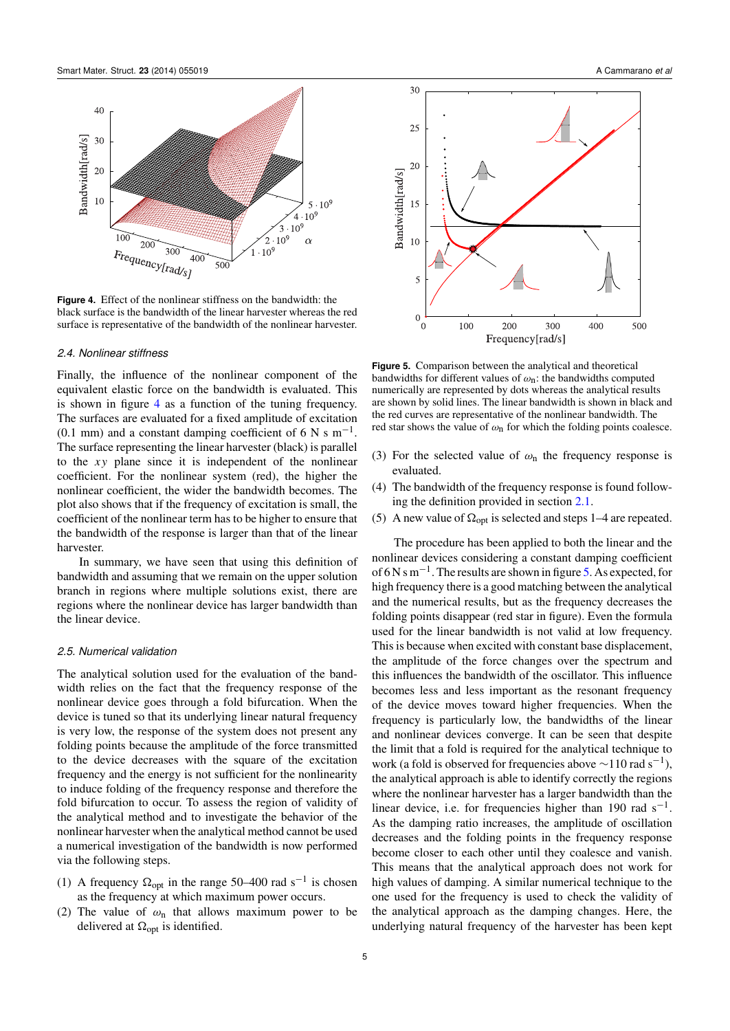<span id="page-5-0"></span>

**Figure 4.** Effect of the nonlinear stiffness on the bandwidth: the black surface is the bandwidth of the linear harvester whereas the red surface is representative of the bandwidth of the nonlinear harvester.

#### *2.4. Nonlinear stiffness*

Finally, the influence of the nonlinear component of the equivalent elastic force on the bandwidth is evaluated. This is shown in figure [4](#page-5-0) as a function of the tuning frequency. The surfaces are evaluated for a fixed amplitude of excitation (0.1 mm) and a constant damping coefficient of 6 N s  $m^{-1}$ . The surface representing the linear harvester (black) is parallel to the *xy* plane since it is independent of the nonlinear coefficient. For the nonlinear system (red), the higher the nonlinear coefficient, the wider the bandwidth becomes. The plot also shows that if the frequency of excitation is small, the coefficient of the nonlinear term has to be higher to ensure that the bandwidth of the response is larger than that of the linear harvester.

In summary, we have seen that using this definition of bandwidth and assuming that we remain on the upper solution branch in regions where multiple solutions exist, there are regions where the nonlinear device has larger bandwidth than the linear device.

#### *2.5. Numerical validation*

The analytical solution used for the evaluation of the bandwidth relies on the fact that the frequency response of the nonlinear device goes through a fold bifurcation. When the device is tuned so that its underlying linear natural frequency is very low, the response of the system does not present any folding points because the amplitude of the force transmitted to the device decreases with the square of the excitation frequency and the energy is not sufficient for the nonlinearity to induce folding of the frequency response and therefore the fold bifurcation to occur. To assess the region of validity of the analytical method and to investigate the behavior of the nonlinear harvester when the analytical method cannot be used a numerical investigation of the bandwidth is now performed via the following steps.

- (1) A frequency  $\Omega_{opt}$  in the range 50–400 rad s<sup>-1</sup> is chosen as the frequency at which maximum power occurs.
- (2) The value of  $\omega_n$  that allows maximum power to be delivered at  $\Omega_{opt}$  is identified.

<span id="page-5-1"></span>

**Figure 5.** Comparison between the analytical and theoretical bandwidths for different values of  $\omega_n$ : the bandwidths computed numerically are represented by dots whereas the analytical results are shown by solid lines. The linear bandwidth is shown in black and the red curves are representative of the nonlinear bandwidth. The red star shows the value of  $\omega_n$  for which the folding points coalesce.

- (3) For the selected value of  $\omega_n$  the frequency response is evaluated.
- (4) The bandwidth of the frequency response is found following the definition provided in section [2.1.](#page-3-6)
- (5) A new value of  $\Omega_{\text{opt}}$  is selected and steps 1–4 are repeated.

The procedure has been applied to both the linear and the nonlinear devices considering a constant damping coefficient of 6 N s m−<sup>1</sup> . The results are shown in figure [5.](#page-5-1) As expected, for high frequency there is a good matching between the analytical and the numerical results, but as the frequency decreases the folding points disappear (red star in figure). Even the formula used for the linear bandwidth is not valid at low frequency. This is because when excited with constant base displacement, the amplitude of the force changes over the spectrum and this influences the bandwidth of the oscillator. This influence becomes less and less important as the resonant frequency of the device moves toward higher frequencies. When the frequency is particularly low, the bandwidths of the linear and nonlinear devices converge. It can be seen that despite the limit that a fold is required for the analytical technique to work (a fold is observed for frequencies above  $\sim$ 110 rad s<sup>-1</sup>), the analytical approach is able to identify correctly the regions where the nonlinear harvester has a larger bandwidth than the linear device, i.e. for frequencies higher than 190 rad  $s^{-1}$ . As the damping ratio increases, the amplitude of oscillation decreases and the folding points in the frequency response become closer to each other until they coalesce and vanish. This means that the analytical approach does not work for high values of damping. A similar numerical technique to the one used for the frequency is used to check the validity of the analytical approach as the damping changes. Here, the underlying natural frequency of the harvester has been kept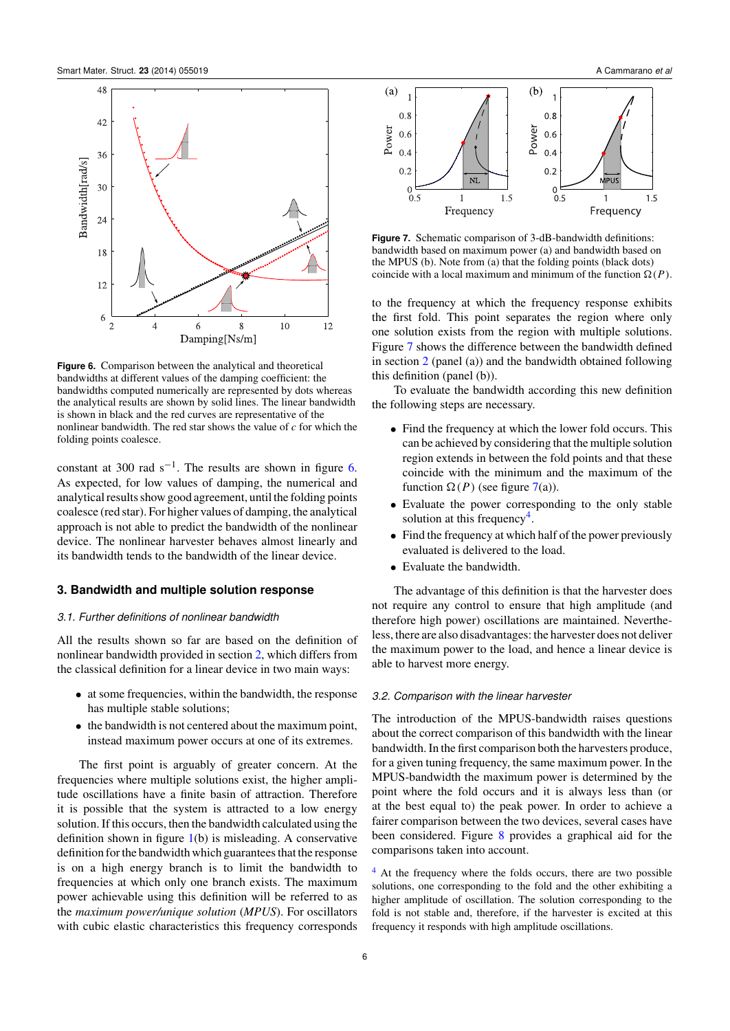<span id="page-6-1"></span>

**Figure 6.** Comparison between the analytical and theoretical bandwidths at different values of the damping coefficient: the bandwidths computed numerically are represented by dots whereas the analytical results are shown by solid lines. The linear bandwidth is shown in black and the red curves are representative of the nonlinear bandwidth. The red star shows the value of *c* for which the folding points coalesce.

constant at 300 rad  $s^{-1}$ . The results are shown in figure [6.](#page-6-1) As expected, for low values of damping, the numerical and analytical results show good agreement, until the folding points coalesce (red star). For higher values of damping, the analytical approach is not able to predict the bandwidth of the nonlinear device. The nonlinear harvester behaves almost linearly and its bandwidth tends to the bandwidth of the linear device.

# **3. Bandwidth and multiple solution response**

#### <span id="page-6-0"></span>*3.1. Further definitions of nonlinear bandwidth*

All the results shown so far are based on the definition of nonlinear bandwidth provided in section [2,](#page-2-0) which differs from the classical definition for a linear device in two main ways:

- at some frequencies, within the bandwidth, the response has multiple stable solutions;
- the bandwidth is not centered about the maximum point, instead maximum power occurs at one of its extremes.

The first point is arguably of greater concern. At the frequencies where multiple solutions exist, the higher amplitude oscillations have a finite basin of attraction. Therefore it is possible that the system is attracted to a low energy solution. If this occurs, then the bandwidth calculated using the definition shown in figure [1\(](#page-2-1)b) is misleading. A conservative definition for the bandwidth which guarantees that the response is on a high energy branch is to limit the bandwidth to frequencies at which only one branch exists. The maximum power achievable using this definition will be referred to as the *maximum power/unique solution* (*MPUS*). For oscillators with cubic elastic characteristics this frequency corresponds

<span id="page-6-2"></span>

**Figure 7.** Schematic comparison of 3-dB-bandwidth definitions: bandwidth based on maximum power (a) and bandwidth based on the MPUS (b). Note from (a) that the folding points (black dots) coincide with a local maximum and minimum of the function  $\Omega(P)$ .

to the frequency at which the frequency response exhibits the first fold. This point separates the region where only one solution exists from the region with multiple solutions. Figure [7](#page-6-2) shows the difference between the bandwidth defined in section [2](#page-2-0) (panel (a)) and the bandwidth obtained following this definition (panel (b)).

To evaluate the bandwidth according this new definition the following steps are necessary.

- Find the frequency at which the lower fold occurs. This can be achieved by considering that the multiple solution region extends in between the fold points and that these coincide with the minimum and the maximum of the function  $\Omega(P)$  (see figure [7\(](#page-6-2)a)).
- Evaluate the power corresponding to the only stable solution at this frequency<sup>[4](#page-6-3)</sup>.
- Find the frequency at which half of the power previously evaluated is delivered to the load.
- Evaluate the bandwidth.

The advantage of this definition is that the harvester does not require any control to ensure that high amplitude (and therefore high power) oscillations are maintained. Nevertheless, there are also disadvantages: the harvester does not deliver the maximum power to the load, and hence a linear device is able to harvest more energy.

#### *3.2. Comparison with the linear harvester*

The introduction of the MPUS-bandwidth raises questions about the correct comparison of this bandwidth with the linear bandwidth. In the first comparison both the harvesters produce, for a given tuning frequency, the same maximum power. In the MPUS-bandwidth the maximum power is determined by the point where the fold occurs and it is always less than (or at the best equal to) the peak power. In order to achieve a fairer comparison between the two devices, several cases have been considered. Figure [8](#page-7-0) provides a graphical aid for the comparisons taken into account.

<span id="page-6-3"></span><sup>[4](#page-6-3)</sup> At the frequency where the folds occurs, there are two possible solutions, one corresponding to the fold and the other exhibiting a higher amplitude of oscillation. The solution corresponding to the fold is not stable and, therefore, if the harvester is excited at this frequency it responds with high amplitude oscillations.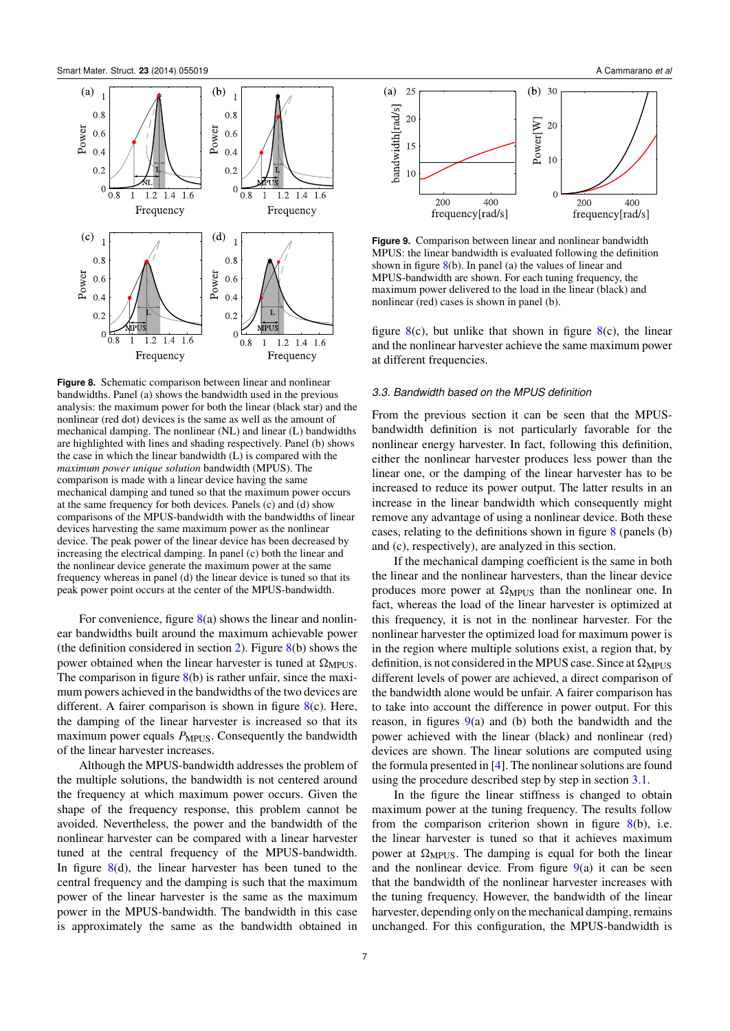<span id="page-7-0"></span>

**Figure 8.** Schematic comparison between linear and nonlinear bandwidths. Panel (a) shows the bandwidth used in the previous analysis: the maximum power for both the linear (black star) and the nonlinear (red dot) devices is the same as well as the amount of mechanical damping. The nonlinear (NL) and linear (L) bandwidths are highlighted with lines and shading respectively. Panel (b) shows the case in which the linear bandwidth (L) is compared with the *maximum power unique solution* bandwidth (MPUS). The comparison is made with a linear device having the same mechanical damping and tuned so that the maximum power occurs at the same frequency for both devices. Panels (c) and (d) show comparisons of the MPUS-bandwidth with the bandwidths of linear devices harvesting the same maximum power as the nonlinear device. The peak power of the linear device has been decreased by increasing the electrical damping. In panel (c) both the linear and the nonlinear device generate the maximum power at the same frequency whereas in panel (d) the linear device is tuned so that its peak power point occurs at the center of the MPUS-bandwidth.

For convenience, figure  $8(a)$  $8(a)$  shows the linear and nonlinear bandwidths built around the maximum achievable power (the definition considered in section [2\)](#page-2-0). Figure  $8(b)$  $8(b)$  shows the power obtained when the linear harvester is tuned at  $\Omega_{MPUS}$ . The comparison in figure  $8(b)$  $8(b)$  is rather unfair, since the maximum powers achieved in the bandwidths of the two devices are different. A fairer comparison is shown in figure  $8(c)$  $8(c)$ . Here, the damping of the linear harvester is increased so that its maximum power equals *P<sub>MPUS</sub>*. Consequently the bandwidth of the linear harvester increases.

Although the MPUS-bandwidth addresses the problem of the multiple solutions, the bandwidth is not centered around the frequency at which maximum power occurs. Given the shape of the frequency response, this problem cannot be avoided. Nevertheless, the power and the bandwidth of the nonlinear harvester can be compared with a linear harvester tuned at the central frequency of the MPUS-bandwidth. In figure  $8(d)$  $8(d)$ , the linear harvester has been tuned to the central frequency and the damping is such that the maximum power of the linear harvester is the same as the maximum power in the MPUS-bandwidth. The bandwidth in this case is approximately the same as the bandwidth obtained in

<span id="page-7-1"></span>

**Figure 9.** Comparison between linear and nonlinear bandwidth MPUS: the linear bandwidth is evaluated following the definition shown in figure  $8(b)$  $8(b)$ . In panel (a) the values of linear and MPUS-bandwidth are shown. For each tuning frequency, the maximum power delivered to the load in the linear (black) and nonlinear (red) cases is shown in panel (b).

figure  $8(c)$  $8(c)$ , but unlike that shown in figure  $8(c)$ , the linear and the nonlinear harvester achieve the same maximum power at different frequencies.

#### *3.3. Bandwidth based on the MPUS definition*

From the previous section it can be seen that the MPUSbandwidth definition is not particularly favorable for the nonlinear energy harvester. In fact, following this definition, either the nonlinear harvester produces less power than the linear one, or the damping of the linear harvester has to be increased to reduce its power output. The latter results in an increase in the linear bandwidth which consequently might remove any advantage of using a nonlinear device. Both these cases, relating to the definitions shown in figure [8](#page-7-0) (panels (b) and (c), respectively), are analyzed in this section.

If the mechanical damping coefficient is the same in both the linear and the nonlinear harvesters, than the linear device produces more power at  $\Omega_{MPUS}$  than the nonlinear one. In fact, whereas the load of the linear harvester is optimized at this frequency, it is not in the nonlinear harvester. For the nonlinear harvester the optimized load for maximum power is in the region where multiple solutions exist, a region that, by definition, is not considered in the MPUS case. Since at  $\Omega_{\text{MPUS}}$ different levels of power are achieved, a direct comparison of the bandwidth alone would be unfair. A fairer comparison has to take into account the difference in power output. For this reason, in figures  $9(a)$  $9(a)$  and (b) both the bandwidth and the power achieved with the linear (black) and nonlinear (red) devices are shown. The linear solutions are computed using the formula presented in [\[4\]](#page-8-3). The nonlinear solutions are found using the procedure described step by step in section [3.1.](#page-6-0)

In the figure the linear stiffness is changed to obtain maximum power at the tuning frequency. The results follow from the comparison criterion shown in figure  $8(b)$  $8(b)$ , i.e. the linear harvester is tuned so that it achieves maximum power at  $\Omega_{MPUS}$ . The damping is equal for both the linear and the nonlinear device. From figure  $9(a)$  $9(a)$  it can be seen that the bandwidth of the nonlinear harvester increases with the tuning frequency. However, the bandwidth of the linear harvester, depending only on the mechanical damping, remains unchanged. For this configuration, the MPUS-bandwidth is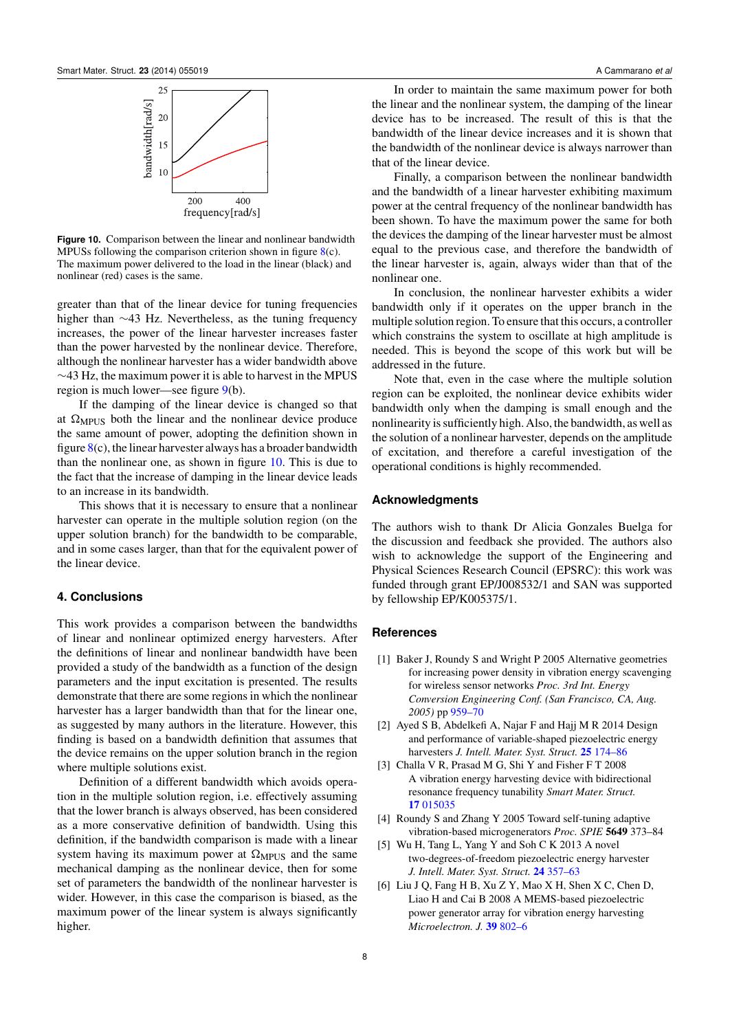<span id="page-8-7"></span>

**Figure 10.** Comparison between the linear and nonlinear bandwidth MPUSs following the comparison criterion shown in figure [8\(](#page-7-0)c). The maximum power delivered to the load in the linear (black) and nonlinear (red) cases is the same.

greater than that of the linear device for tuning frequencies higher than ∼43 Hz. Nevertheless, as the tuning frequency increases, the power of the linear harvester increases faster than the power harvested by the nonlinear device. Therefore, although the nonlinear harvester has a wider bandwidth above ∼43 Hz, the maximum power it is able to harvest in the MPUS region is much lower—see figure [9\(](#page-7-1)b).

If the damping of the linear device is changed so that at  $\Omega_{MPUS}$  both the linear and the nonlinear device produce the same amount of power, adopting the definition shown in figure  $8(c)$  $8(c)$ , the linear harvester always has a broader bandwidth than the nonlinear one, as shown in figure [10.](#page-8-7) This is due to the fact that the increase of damping in the linear device leads to an increase in its bandwidth.

This shows that it is necessary to ensure that a nonlinear harvester can operate in the multiple solution region (on the upper solution branch) for the bandwidth to be comparable, and in some cases larger, than that for the equivalent power of the linear device.

# <span id="page-8-6"></span>**4. Conclusions**

This work provides a comparison between the bandwidths of linear and nonlinear optimized energy harvesters. After the definitions of linear and nonlinear bandwidth have been provided a study of the bandwidth as a function of the design parameters and the input excitation is presented. The results demonstrate that there are some regions in which the nonlinear harvester has a larger bandwidth than that for the linear one, as suggested by many authors in the literature. However, this finding is based on a bandwidth definition that assumes that the device remains on the upper solution branch in the region where multiple solutions exist.

Definition of a different bandwidth which avoids operation in the multiple solution region, i.e. effectively assuming that the lower branch is always observed, has been considered as a more conservative definition of bandwidth. Using this definition, if the bandwidth comparison is made with a linear system having its maximum power at  $\Omega_{\text{MPUS}}$  and the same mechanical damping as the nonlinear device, then for some set of parameters the bandwidth of the nonlinear harvester is wider. However, in this case the comparison is biased, as the maximum power of the linear system is always significantly higher.

In order to maintain the same maximum power for both the linear and the nonlinear system, the damping of the linear device has to be increased. The result of this is that the bandwidth of the linear device increases and it is shown that the bandwidth of the nonlinear device is always narrower than that of the linear device.

Finally, a comparison between the nonlinear bandwidth and the bandwidth of a linear harvester exhibiting maximum power at the central frequency of the nonlinear bandwidth has been shown. To have the maximum power the same for both the devices the damping of the linear harvester must be almost equal to the previous case, and therefore the bandwidth of the linear harvester is, again, always wider than that of the nonlinear one.

In conclusion, the nonlinear harvester exhibits a wider bandwidth only if it operates on the upper branch in the multiple solution region. To ensure that this occurs, a controller which constrains the system to oscillate at high amplitude is needed. This is beyond the scope of this work but will be addressed in the future.

Note that, even in the case where the multiple solution region can be exploited, the nonlinear device exhibits wider bandwidth only when the damping is small enough and the nonlinearity is sufficiently high. Also, the bandwidth, as well as the solution of a nonlinear harvester, depends on the amplitude of excitation, and therefore a careful investigation of the operational conditions is highly recommended.

#### **Acknowledgments**

The authors wish to thank Dr Alicia Gonzales Buelga for the discussion and feedback she provided. The authors also wish to acknowledge the support of the Engineering and Physical Sciences Research Council (EPSRC): this work was funded through grant EP/J008532/1 and SAN was supported by fellowship EP/K005375/1.

## **References**

- <span id="page-8-0"></span>[1] Baker J, Roundy S and Wright P 2005 Alternative geometries for increasing power density in vibration energy scavenging for wireless sensor networks *Proc. 3rd Int. Energy Conversion Engineering Conf. (San Francisco, CA, Aug. 2005)* pp [959–70](http://dx.doi.org/10.2514/6.2005-5617)
- <span id="page-8-1"></span>[2] Ayed S B, Abdelkefi A, Najar F and Hajj M R 2014 Design and performance of variable-shaped piezoelectric energy harvesters *J. Intell. Mater. Syst. Struct.* [25](http://dx.doi.org/10.1177/1045389X13489365) [174–86](http://dx.doi.org/10.1177/1045389X13489365)
- <span id="page-8-2"></span>[3] Challa V R, Prasad M G, Shi Y and Fisher F T 2008 A vibration energy harvesting device with bidirectional resonance frequency tunability *Smart Mater. Struct.* [17](http://dx.doi.org/10.1088/0964-1726/17/01/015035) [015035](http://dx.doi.org/10.1088/0964-1726/17/01/015035)
- <span id="page-8-3"></span>[4] Roundy S and Zhang Y 2005 Toward self-tuning adaptive vibration-based microgenerators *Proc. SPIE* 5649 373–84
- <span id="page-8-4"></span>[5] Wu H, Tang L, Yang Y and Soh C K 2013 A novel two-degrees-of-freedom piezoelectric energy harvester *J. Intell. Mater. Syst. Struct.* [24](http://dx.doi.org/10.1177/1045389X12457254) [357–63](http://dx.doi.org/10.1177/1045389X12457254)
- <span id="page-8-5"></span>[6] Liu J Q, Fang H B, Xu Z Y, Mao X H, Shen X C, Chen D, Liao H and Cai B 2008 A MEMS-based piezoelectric power generator array for vibration energy harvesting *Microelectron. J.* [39](http://dx.doi.org/10.1016/j.mejo.2007.12.017) [802–6](http://dx.doi.org/10.1016/j.mejo.2007.12.017)